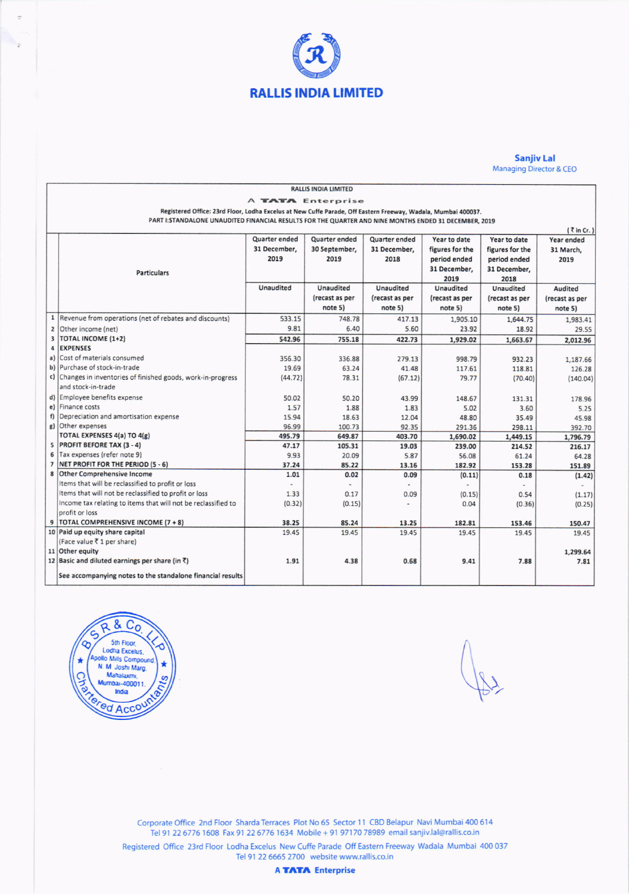

## **Sanjiv Lal** Managing Director & CEO

| <b>RALLIS INDIA LIMITED</b>                                                                                   |                                                               |                  |                  |                      |                 |                 |                |
|---------------------------------------------------------------------------------------------------------------|---------------------------------------------------------------|------------------|------------------|----------------------|-----------------|-----------------|----------------|
| <b>A TATA Enterprise</b>                                                                                      |                                                               |                  |                  |                      |                 |                 |                |
| Registered Office: 23rd Floor, Lodha Excelus at New Cuffe Parade, Off Eastern Freeway, Wadala, Mumbai 400037. |                                                               |                  |                  |                      |                 |                 |                |
| PART I: STANDALONE UNAUDITED FINANCIAL RESULTS FOR THE QUARTER AND NINE MONTHS ENDED 31 DECEMBER, 2019        |                                                               |                  |                  |                      |                 |                 |                |
| $\left\{ \zeta$ in Cr.)                                                                                       |                                                               |                  |                  |                      |                 |                 |                |
|                                                                                                               |                                                               | Quarter ended    | Quarter ended    | <b>Quarter ended</b> | Year to date    | Year to date    | Year ended     |
|                                                                                                               |                                                               | 31 December,     | 30 September,    | 31 December,         | figures for the | figures for the | 31 March,      |
|                                                                                                               |                                                               | 2019             | 2019             | 2018                 | period ended    | period ended    | 2019           |
|                                                                                                               | <b>Particulars</b>                                            |                  |                  |                      | 31 December.    | 31 December,    |                |
|                                                                                                               |                                                               |                  |                  |                      | 2019            | 2018            |                |
|                                                                                                               |                                                               | <b>Unaudited</b> | <b>Unaudited</b> | <b>Unaudited</b>     | Unaudited       | Unaudited       | Audited        |
|                                                                                                               |                                                               |                  | (recast as per   | (recast as per       | (recast as per  | (recast as per  | (recast as per |
|                                                                                                               |                                                               |                  | note 5)          | note 5)              | note 5)         | note 5)         | note 5)        |
| $\mathbf{1}$                                                                                                  | Revenue from operations (net of rebates and discounts)        | 533.15           | 748.78           | 417.13               | 1,905.10        | 1,644.75        | 1,983.41       |
| $\overline{2}$                                                                                                | Other income (net)                                            | 9.81             | 6.40             | 5.60                 | 23.92           | 18.92           | 29.55          |
| 3                                                                                                             | <b>TOTAL INCOME (1+2)</b>                                     | 542.96           | 755.18           | 422.73               | 1,929.02        | 1,663.67        | 2,012.96       |
| 4                                                                                                             | <b>EXPENSES</b>                                               |                  |                  |                      |                 |                 |                |
| a)                                                                                                            | Cost of materials consumed                                    | 356.30           | 336.88           | 279.13               | 998.79          | 932.23          | 1,187.66       |
|                                                                                                               | b) Purchase of stock-in-trade                                 | 19.69            | 63.24            | 41.48                | 117.61          | 118.81          | 126.28         |
|                                                                                                               | c) Changes in inventories of finished goods, work-in-progress | (44.72)          | 78.31            | (67.12)              | 79.77           | (70.40)         | (140.04)       |
|                                                                                                               | and stock-in-trade                                            |                  |                  |                      |                 |                 |                |
|                                                                                                               | d) Employee benefits expense                                  | 50.02            | 50.20            | 43.99                | 148.67          | 131.31          | 178.96         |
|                                                                                                               | e) Finance costs                                              | 1.57             | 1.88             | 1.83                 | 5.02            | 3.60            | 5.25           |
| f                                                                                                             | Depreciation and amortisation expense                         | 15.94            | 18.63            | 12.04                | 48.80           | 35.49           | 45.98          |
|                                                                                                               | g) Other expenses                                             | 96.99            | 100.73           | 92.35                | 291.36          | 298.11          | 392.70         |
|                                                                                                               | <b>TOTAL EXPENSES 4(a) TO 4(g)</b>                            | 495.79           | 649.87           | 403.70               | 1,690.02        | 1,449.15        | 1,796.79       |
|                                                                                                               | 5 PROFIT BEFORE TAX (3 - 4)                                   | 47.17            | 105.31           | 19.03                | 239.00          | 214.52          | 216.17         |
|                                                                                                               | 6 Tax expenses (refer note 9)                                 | 9.93             | 20.09            | 5.87                 | 56.08           | 61.24           | 64.28          |
| $\overline{7}$                                                                                                | NET PROFIT FOR THE PERIOD (5 - 6)                             | 37.24            | 85.22            | 13.16                | 182.92          | 153.28          | 151.89         |
| 8                                                                                                             | <b>Other Comprehensive Income</b>                             | 1.01             | 0.02             | 0.09                 | (0.11)          | 0.18            | (1.42)         |
|                                                                                                               | Items that will be reclassified to profit or loss             |                  | ٠                |                      |                 |                 |                |
|                                                                                                               | Items that will not be reclassified to profit or loss         | 1.33             | 0.17             | 0.09                 | (0.15)          | 0.54            | (1.17)         |
|                                                                                                               | Income tax relating to items that will not be reclassified to | (0.32)           | (0.15)           |                      | 0.04            | (0.36)          | (0.25)         |
|                                                                                                               | profit or loss                                                |                  |                  |                      |                 |                 |                |
|                                                                                                               | 9   TOTAL COMPREHENSIVE INCOME (7 + 8)                        | 38.25            | 85.24            | 13.25                | 182.81          | 153.46          | 150.47         |
|                                                                                                               | 10 Paid up equity share capital                               | 19.45            | 19.45            | 19.45                | 19.45           | 19.45           | 19.45          |
|                                                                                                               | (Face value ₹1 per share)                                     |                  |                  |                      |                 |                 |                |
|                                                                                                               | 11 Other equity                                               |                  |                  |                      |                 |                 | 1,299.64       |
|                                                                                                               | 12 Basic and diluted earnings per share (in ₹)                | 1.91             | 4.38             | 0.68                 | 9.41            | 7.88            | 7.81           |
|                                                                                                               | See accompanying notes to the standalone financial results    |                  |                  |                      |                 |                 |                |



Corporate Office 2nd Floor Sharda Terraces Plot No 65 Sector 11 CBD Belapur Navi Mumbai 400 614 Tel 91 22 6776 1608 Fax 91 22 6776 1634 Mobile + 91 97170 78989 email sanjiv.lal@rallis.co.in

Registered Office 23rd Floor Lodha Excelus New Cuffe Parade Off Eastern Freeway Wadala Mumbai 400 037 Tel 91 22 6665 2700 website www.rallis.co.in

**A TATA** Enterprise